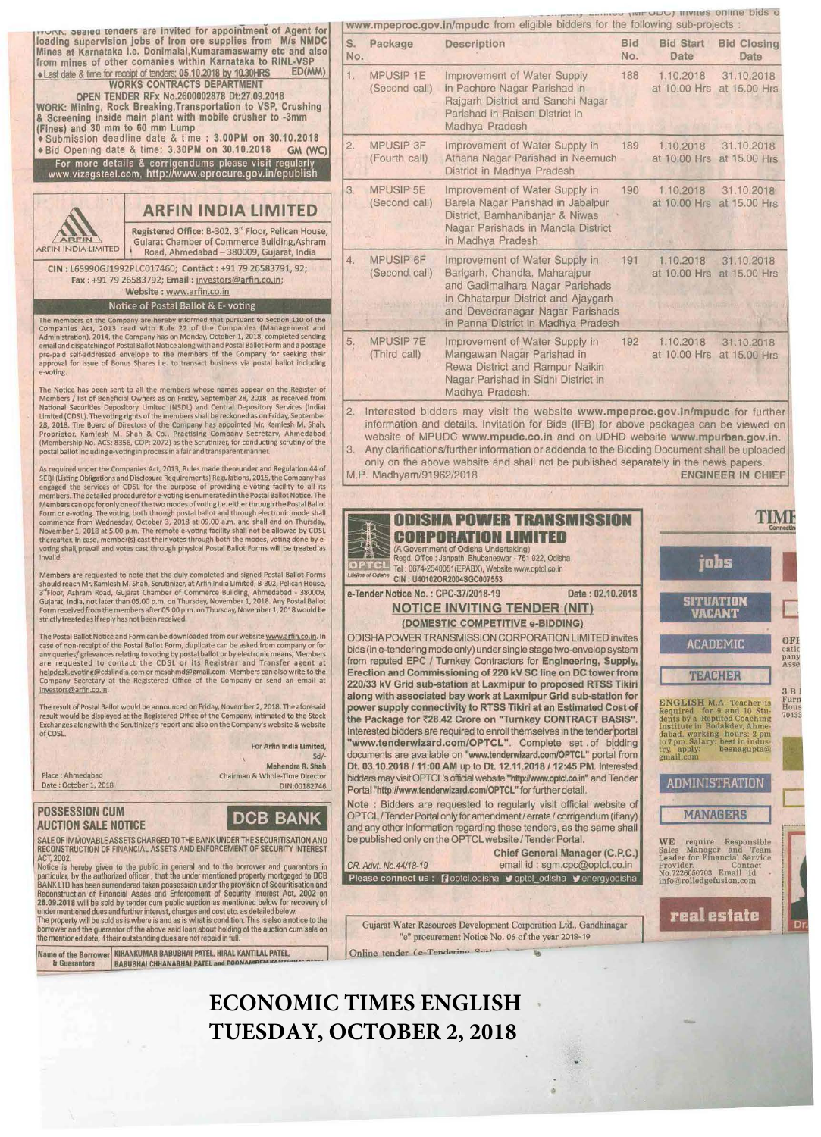חת ו- sealed tenders are invited for appointment of Agent for loading supervision jobs of Iron ore supplies from M/s NMDC Mines at Karnataka I.e. Donlmalai,Kumaramaswamy etc and also from mines of other comanies within Karnataka to RINL-VSP +Last date & time for receipt of tenders: 05.10.2018 by 10.30HRS ED(MM)<br>WORKS CONTRACTS DEPARTMENT OPEN TENDER RFx No.2600002878 Dt:27.09.2018 WORK: Mining, Rock Breaklng,Transportatlon to VSP, Crushing & Screening inside main plant with mobile crusher to -3mm (Fines) and 30 mm to 60 mm Lump **.** Submission deadline date & time : 3.00PM on 30.10.2018 www.mpeproc.gov.in/mpudc from eligible bidders for the following sub-projects : s. Package Description Bid Bid Start Bid Closing . Date . Date No. Date Date Date Date 1. MPUSIP 1E Improvement of Water Supply 188 1.10.2018 31.10.2018 (Second call) in Pachore Nagar Parishad in at 10.00 Hrs at 15.00 Hrs Rajgarh District and Sanchi Nagar Parishad in Raisen District in Madhya Pradesh

• Bid Opening date & time: 3.30PM on 30.10.2018 GM (WC) For more details & corrigendums please visit regularly www.vizagsteel.com, http://www.eprocure.gov.in/epublish 2. MPUSIP 3F Improvement of Water Supply in 189 1.10.2018 31.10.2018<br>(Fourth call) Athana Nagar Parishad in Neemuch at 10.00 Hrs at 15.00 Hrs 3. MPUSIP5E Improvement of Water Supply in 190 1 10.2018 31 .10.2018 I (Second call) Barela Nagar Parishad in Jabalpur at 10.00 Hrs at 15.00 Hfs

**ARFIN INDIA LIMITED**<br>
Registered Office: B-302, 3<sup>rd</sup> Floor, Pelican House<br>
Gujarat Chamber of Commerce Building, Ashram<br>
Road, Ahmedabad – 380009, Gujarat, India Registered Office: B-302, 3<sup>rd</sup> Floor, Pelican House

CIN : L65990GJ1992PLC017460; Contact: +91 79 26583791, 92; Fax : +91 79 26583792; Email : investors@arfin.co.in; Website : www.arfin.co.in

Notice of Postal Ballot & E- voting

The members of the Company are hereby informed that pursuant to Section 110 of the Companies Act, 2013 read with Rule 22 of the Companies (Management and Administration), 2014, the Company has on Monday, October 1, 2018, c approval for issue of Bonus Shares I.e. to transact business via postal ballot including e-voting.

The Notice has been sent to all the members whose names appear on the Register of Members /list of Seneftclal Owners as on Friday, september 28, 2018 as received from National Securities Depository Limited (NSDL) and Central Depository Services (India)<br>Limited (CDSL). The voting rights of the members shall be reckoned as on Friday, September<br>28, 2018. The Board of Directors of the Compa Proprietor, Kamlesh M. Shah & Co., Practising Company Secretary, Ahmedabad (Membership No. ACS: 8356, COP: 2072) as the Scrutinizer, for conducting scrutlny of the postal ballot including e-voting in process in a fair and transparent manner.

As required under the Companies Act, 2013, Rules made thereunder and Regulation 44 of SEBI (Listing Obligations and Disclosure Requirements) Regulations, 2015, the Company has<br>engaged the services of CDSL for the purpose of providing e-voting facility to all its<br>members. The detailed procedure f Members can opt for only one of the two modes of voting i.e. either through the Postal Ballot<br>Form or e-voting. The voting, both through postal ballot and through electronic mode shall<br>commence from Wednesday, October 3, 2 voting shall prevail and votes cast through physical Postal Ballot Forms will be treated as Invalid.

Members are requested to note that the duly completed and signed Postal Ballot Forms<br>should reach Mr. Kamlesh M. Shah, Scrutinizer, at Arfin India Limited, B-302, Pelican House,<br>3"Floor, Ashram Road, Gujarat Chamber of Com strictly treated as If reply has not been received.

The Postal Ballot Notice and Form can be downloaded from our website www.arfin.co.in. In case of non-receipt of the Postal Ballot Form, duplicate can be asked from company or for<br>any queries/ grievances relating to voting by postal ballot or by electronic means, Members<br>are requested to contact the CDSL or its helpdesk evoting@cdslindia.com or mcsahmd@gmail.com. Members can also write to the Company Secretary at the Registered Office of the Company or send an email at lnyestors@arfln co. ln.

The result of Postal Ballot would be announced on Friday, November 2, 2018. The aforesaid<br>result would be displayed at the Registered Office of the Company, intimated to the Stock<br>Exchanges along with the Scrutinizer's rep ofCOSL.

For Arfin India Limited

Place :Ahmedabad Date : October 1, 2018

POSSESSION CUM AUCTION SALE NOTICE DCB BANK

SALE OF IMMOVABLE ASSETS CHARGED TO THE BANK UNDER THE SECURITISATION AND RECONSTRUCTION OF FINANCIAL ASSETS AND ENFORCEMENT OF SECURITY INTEREST ACT,2002.

Notice is hereby given to the public in general and to the borrower and guarantors in<br>particular, by the authorized officer , that the under mentioned property mortgaged to DCB<br>BANKLTD has been surrendered taken possession

under mentioned dues and further interest, charges and cost etc. as detailed below.<br>The property will be sold as is where is and as is what is condition. This is also a notice to the<br>borrower and the guarantor of the above the mentioned date, if their outstanding dues are not repaid in full

Name of the Borrower KIRANKUMAR BABUBHAI PATEL, HIRAL KANTILAL PATEL.<br>& Guarantors BABUBHAI CHHANABHAI PATEL and POONAMBEN KANTIBUS.

## in Chhatarpur District and Ajaygarh and Devedranagar Nagar Parishads in Panna District in Madhya Pradesh 5. MPUSIP 7E Improvement of Water Supply in 192 1.10.2018 31.10.2018 1 (Third call) Mangawan Nagar Parishad in at 10.00 Hrs at 15.00 Hrs Rewa District and Rampur Naikin Nagar Parishad in Sidhi District in Madhya Pradesh. Interested bidders may visit the website www.mpeproc.gov.in/mpudc for further

Athana Nagar Parishad in Neemuch District in Madhya Pradesh

District, Bamhanibanjar & Niwas Nagar Parishads in Mandla District

and Gadimalhara Nagar Parishads

in Madhya Pradesh

(Second call) Barigarh, Chandla, Maharajpur

information and details. Invitation for Bids (IFB) for above packages can be viewed on website of MPUDC www.mpudc.co.ln and on UDHD website www.mpurban.gov.in. 3. Any clarifications/further information or addenda to the Bidding Document shall be uploaded only on the above website and shall not be published separately in the news papers.

4. MPUSIP 6F Improvement of Water Supply in 191 1.10.2018 31.10.2018<br>(Second call) Barigarh, Chandla, Maharaipur at 10.00 Hrs at 15.00 Hrs

M.P. Madhyam/9196212018 ENGINEER IN CHIEF



..

-

•

## **ECONOMIC TIMES ENGLISH TUESDAY, OCTOBER 2, 2018**